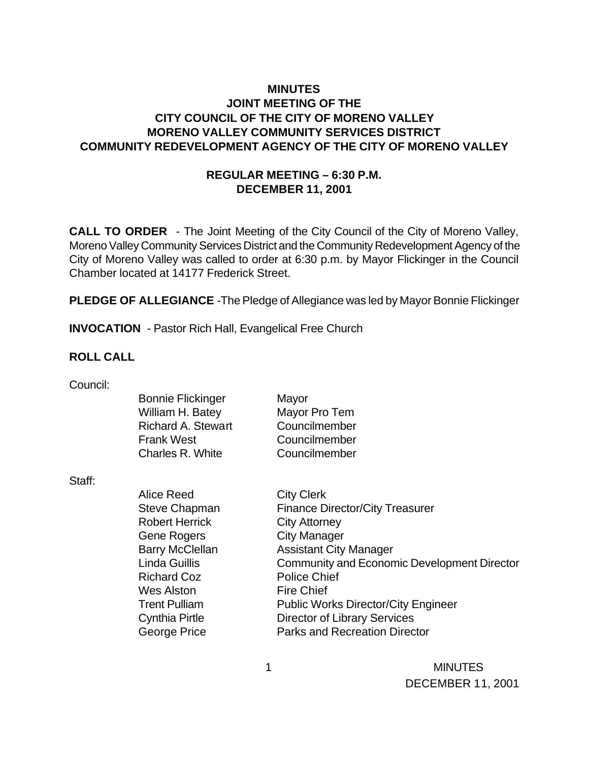### **MINUTES JOINT MEETING OF THE CITY COUNCIL OF THE CITY OF MORENO VALLEY MORENO VALLEY COMMUNITY SERVICES DISTRICT COMMUNITY REDEVELOPMENT AGENCY OF THE CITY OF MORENO VALLEY**

### **REGULAR MEETING – 6:30 P.M. DECEMBER 11, 2001**

**CALL TO ORDER** - The Joint Meeting of the City Council of the City of Moreno Valley, Moreno Valley Community Services District and the Community Redevelopment Agency of the City of Moreno Valley was called to order at 6:30 p.m. by Mayor Flickinger in the Council Chamber located at 14177 Frederick Street.

**PLEDGE OF ALLEGIANCE** -The Pledge of Allegiance was led by Mayor Bonnie Flickinger

**INVOCATION** - Pastor Rich Hall, Evangelical Free Church

#### **ROLL CALL**

| Council: |  |
|----------|--|
|          |  |

Staff:

| <b>Bonnie Flickinger</b>  | Mayor                                       |
|---------------------------|---------------------------------------------|
| William H. Batey          | Mayor Pro Tem                               |
| <b>Richard A. Stewart</b> | Councilmember                               |
| <b>Frank West</b>         | Councilmember                               |
| Charles R. White          | Councilmember                               |
|                           |                                             |
| Alice Reed                | <b>City Clerk</b>                           |
| <b>Steve Chapman</b>      | <b>Finance Director/City Treasurer</b>      |
|                           |                                             |
| <b>Robert Herrick</b>     | <b>City Attorney</b>                        |
| <b>Gene Rogers</b>        | <b>City Manager</b>                         |
| <b>Barry McClellan</b>    | <b>Assistant City Manager</b>               |
| Linda Guillis             | Community and Economic Development Director |
| <b>Richard Coz</b>        | <b>Police Chief</b>                         |
| Wes Alston                | <b>Fire Chief</b>                           |
| <b>Trent Pulliam</b>      | <b>Public Works Director/City Engineer</b>  |
| <b>Cynthia Pirtle</b>     | <b>Director of Library Services</b>         |
| George Price              | <b>Parks and Recreation Director</b>        |
|                           |                                             |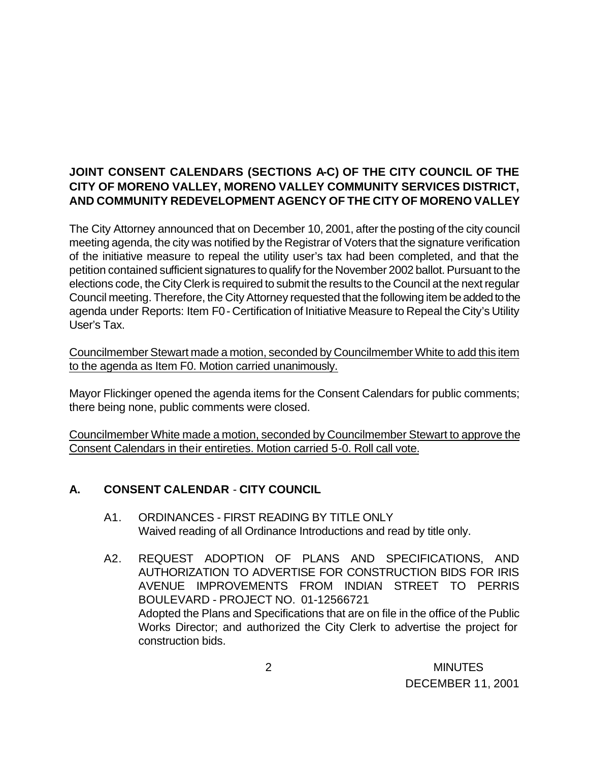### **JOINT CONSENT CALENDARS (SECTIONS A-C) OF THE CITY COUNCIL OF THE CITY OF MORENO VALLEY, MORENO VALLEY COMMUNITY SERVICES DISTRICT, AND COMMUNITY REDEVELOPMENT AGENCY OF THE CITY OF MORENO VALLEY**

The City Attorney announced that on December 10, 2001, after the posting of the city council meeting agenda, the city was notified by the Registrar of Voters that the signature verification of the initiative measure to repeal the utility user's tax had been completed, and that the petition contained sufficient signatures to qualify for the November 2002 ballot. Pursuant to the elections code, the City Clerk is required to submit the results to the Council at the next regular Council meeting. Therefore, the City Attorney requested that the following item be added to the agenda under Reports: Item F0 - Certification of Initiative Measure to Repeal the City's Utility User's Tax.

Councilmember Stewart made a motion, seconded by Councilmember White to add this item to the agenda as Item F0. Motion carried unanimously.

Mayor Flickinger opened the agenda items for the Consent Calendars for public comments; there being none, public comments were closed.

Councilmember White made a motion, seconded by Councilmember Stewart to approve the Consent Calendars in their entireties. Motion carried 5-0. Roll call vote.

# **A. CONSENT CALENDAR** - **CITY COUNCIL**

- A1. ORDINANCES FIRST READING BY TITLE ONLY Waived reading of all Ordinance Introductions and read by title only.
- A2. REQUEST ADOPTION OF PLANS AND SPECIFICATIONS, AND AUTHORIZATION TO ADVERTISE FOR CONSTRUCTION BIDS FOR IRIS AVENUE IMPROVEMENTS FROM INDIAN STREET TO PERRIS BOULEVARD - PROJECT NO. 01-12566721 Adopted the Plans and Specifications that are on file in the office of the Public Works Director; and authorized the City Clerk to advertise the project for construction bids.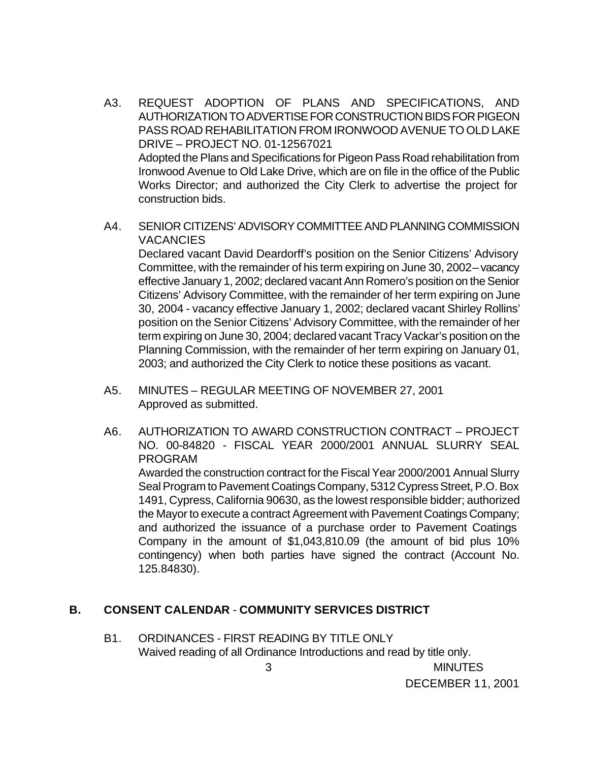- A3. REQUEST ADOPTION OF PLANS AND SPECIFICATIONS, AND AUTHORIZATION TO ADVERTISE FOR CONSTRUCTION BIDS FOR PIGEON PASS ROAD REHABILITATION FROM IRONWOOD AVENUE TO OLD LAKE DRIVE – PROJECT NO. 01-12567021 Adopted the Plans and Specifications for Pigeon Pass Road rehabilitation from Ironwood Avenue to Old Lake Drive, which are on file in the office of the Public Works Director; and authorized the City Clerk to advertise the project for construction bids.
- A4. SENIOR CITIZENS' ADVISORY COMMITTEE AND PLANNING COMMISSION **VACANCIES**

Declared vacant David Deardorff's position on the Senior Citizens' Advisory Committee, with the remainder of his term expiring on June 30, 2002 – vacancy effective January 1, 2002; declared vacant Ann Romero's position on the Senior Citizens' Advisory Committee, with the remainder of her term expiring on June 30, 2004 - vacancy effective January 1, 2002; declared vacant Shirley Rollins' position on the Senior Citizens' Advisory Committee, with the remainder of her term expiring on June 30, 2004; declared vacant Tracy Vackar's position on the Planning Commission, with the remainder of her term expiring on January 01, 2003; and authorized the City Clerk to notice these positions as vacant.

- A5. MINUTES REGULAR MEETING OF NOVEMBER 27, 2001 Approved as submitted.
- A6. AUTHORIZATION TO AWARD CONSTRUCTION CONTRACT PROJECT NO. 00-84820 - FISCAL YEAR 2000/2001 ANNUAL SLURRY SEAL PROGRAM

Awarded the construction contract for the Fiscal Year 2000/2001 Annual Slurry Seal Program to Pavement Coatings Company, 5312 Cypress Street, P.O. Box 1491, Cypress, California 90630, as the lowest responsible bidder; authorized the Mayor to execute a contract Agreement with Pavement Coatings Company; and authorized the issuance of a purchase order to Pavement Coatings Company in the amount of \$1,043,810.09 (the amount of bid plus 10% contingency) when both parties have signed the contract (Account No. 125.84830).

#### **B. CONSENT CALENDAR** - **COMMUNITY SERVICES DISTRICT**

B1. ORDINANCES - FIRST READING BY TITLE ONLY Waived reading of all Ordinance Introductions and read by title only.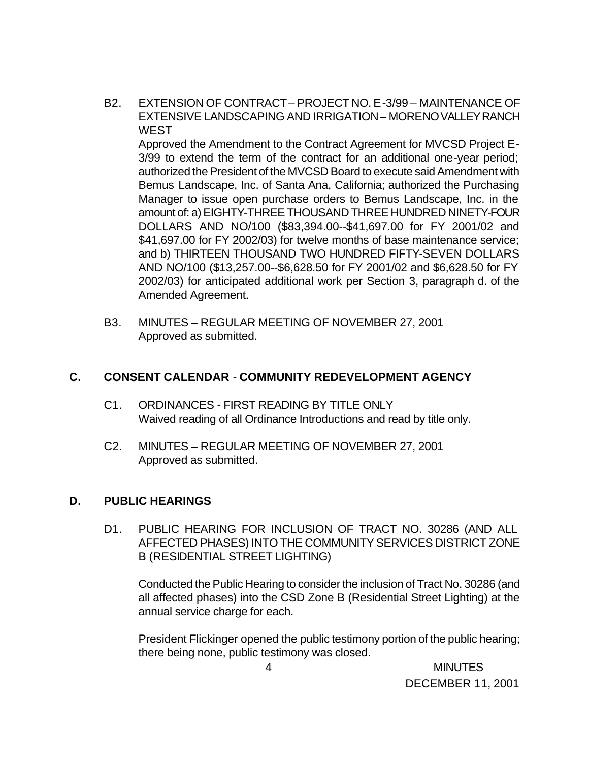B2. EXTENSION OF CONTRACT – PROJECT NO. E-3/99 – MAINTENANCE OF EXTENSIVE LANDSCAPING AND IRRIGATION – MORENO VALLEY RANCH **WEST** 

Approved the Amendment to the Contract Agreement for MVCSD Project E-3/99 to extend the term of the contract for an additional one-year period; authorized the President of the MVCSD Board to execute said Amendment with Bemus Landscape, Inc. of Santa Ana, California; authorized the Purchasing Manager to issue open purchase orders to Bemus Landscape, Inc. in the amount of: a) EIGHTY-THREE THOUSAND THREE HUNDRED NINETY-FOUR DOLLARS AND NO/100 (\$83,394.00--\$41,697.00 for FY 2001/02 and \$41,697.00 for FY 2002/03) for twelve months of base maintenance service; and b) THIRTEEN THOUSAND TWO HUNDRED FIFTY-SEVEN DOLLARS AND NO/100 (\$13,257.00--\$6,628.50 for FY 2001/02 and \$6,628.50 for FY 2002/03) for anticipated additional work per Section 3, paragraph d. of the Amended Agreement.

B3. MINUTES – REGULAR MEETING OF NOVEMBER 27, 2001 Approved as submitted.

### **C. CONSENT CALENDAR** - **COMMUNITY REDEVELOPMENT AGENCY**

- C1. ORDINANCES FIRST READING BY TITLE ONLY Waived reading of all Ordinance Introductions and read by title only.
- C2. MINUTES REGULAR MEETING OF NOVEMBER 27, 2001 Approved as submitted.

#### **D. PUBLIC HEARINGS**

D1. PUBLIC HEARING FOR INCLUSION OF TRACT NO. 30286 (AND ALL AFFECTED PHASES) INTO THE COMMUNITY SERVICES DISTRICT ZONE B (RESIDENTIAL STREET LIGHTING)

Conducted the Public Hearing to consider the inclusion of Tract No. 30286 (and all affected phases) into the CSD Zone B (Residential Street Lighting) at the annual service charge for each.

President Flickinger opened the public testimony portion of the public hearing; there being none, public testimony was closed.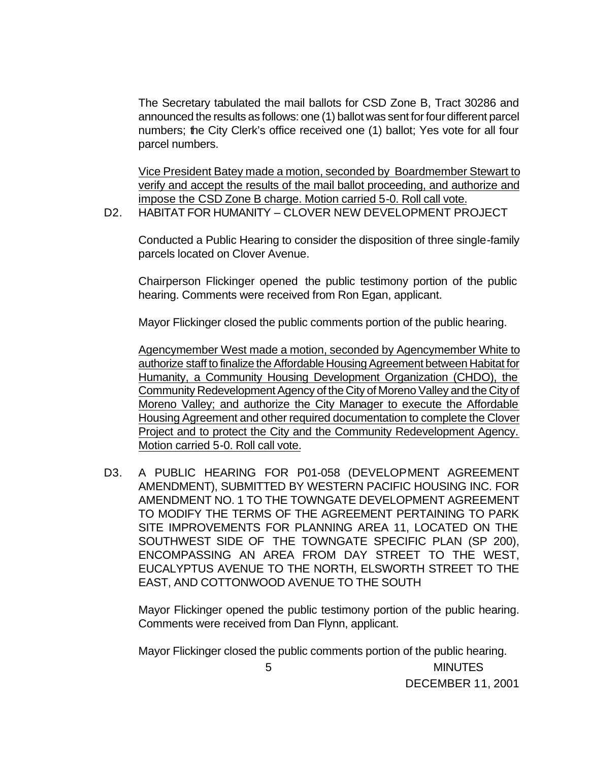The Secretary tabulated the mail ballots for CSD Zone B, Tract 30286 and announced the results as follows: one (1) ballot was sent for four different parcel numbers; the City Clerk's office received one (1) ballot; Yes vote for all four parcel numbers.

Vice President Batey made a motion, seconded by Boardmember Stewart to verify and accept the results of the mail ballot proceeding, and authorize and impose the CSD Zone B charge. Motion carried 5-0. Roll call vote.

D2. HABITAT FOR HUMANITY – CLOVER NEW DEVELOPMENT PROJECT

Conducted a Public Hearing to consider the disposition of three single-family parcels located on Clover Avenue.

Chairperson Flickinger opened the public testimony portion of the public hearing. Comments were received from Ron Egan, applicant.

Mayor Flickinger closed the public comments portion of the public hearing.

Agencymember West made a motion, seconded by Agencymember White to authorize staff to finalize the Affordable Housing Agreement between Habitat for Humanity, a Community Housing Development Organization (CHDO), the Community Redevelopment Agency of the City of Moreno Valley and the City of Moreno Valley; and authorize the City Manager to execute the Affordable Housing Agreement and other required documentation to complete the Clover Project and to protect the City and the Community Redevelopment Agency. Motion carried 5-0. Roll call vote.

D3. A PUBLIC HEARING FOR P01-058 (DEVELOPMENT AGREEMENT AMENDMENT), SUBMITTED BY WESTERN PACIFIC HOUSING INC. FOR AMENDMENT NO. 1 TO THE TOWNGATE DEVELOPMENT AGREEMENT TO MODIFY THE TERMS OF THE AGREEMENT PERTAINING TO PARK SITE IMPROVEMENTS FOR PLANNING AREA 11, LOCATED ON THE SOUTHWEST SIDE OF THE TOWNGATE SPECIFIC PLAN (SP 200), ENCOMPASSING AN AREA FROM DAY STREET TO THE WEST, EUCALYPTUS AVENUE TO THE NORTH, ELSWORTH STREET TO THE EAST, AND COTTONWOOD AVENUE TO THE SOUTH

Mayor Flickinger opened the public testimony portion of the public hearing. Comments were received from Dan Flynn, applicant.

 5 MINUTES Mayor Flickinger closed the public comments portion of the public hearing.

DECEMBER 11, 2001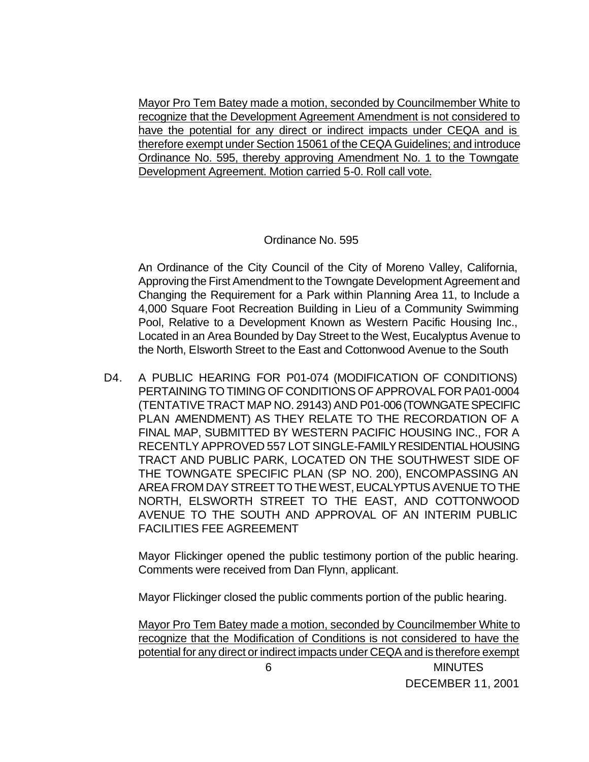Mayor Pro Tem Batey made a motion, seconded by Councilmember White to recognize that the Development Agreement Amendment is not considered to have the potential for any direct or indirect impacts under CEQA and is therefore exempt under Section 15061 of the CEQA Guidelines; and introduce Ordinance No. 595, thereby approving Amendment No. 1 to the Towngate Development Agreement. Motion carried 5-0. Roll call vote.

#### Ordinance No. 595

An Ordinance of the City Council of the City of Moreno Valley, California, Approving the First Amendment to the Towngate Development Agreement and Changing the Requirement for a Park within Planning Area 11, to Include a 4,000 Square Foot Recreation Building in Lieu of a Community Swimming Pool, Relative to a Development Known as Western Pacific Housing Inc., Located in an Area Bounded by Day Street to the West, Eucalyptus Avenue to the North, Elsworth Street to the East and Cottonwood Avenue to the South

D4. A PUBLIC HEARING FOR P01-074 (MODIFICATION OF CONDITIONS) PERTAINING TO TIMING OF CONDITIONS OF APPROVAL FOR PA01-0004 (TENTATIVE TRACT MAP NO. 29143) AND P01-006 (TOWNGATE SPECIFIC PLAN AMENDMENT) AS THEY RELATE TO THE RECORDATION OF A FINAL MAP, SUBMITTED BY WESTERN PACIFIC HOUSING INC., FOR A RECENTLY APPROVED 557 LOT SINGLE-FAMILY RESIDENTIAL HOUSING TRACT AND PUBLIC PARK, LOCATED ON THE SOUTHWEST SIDE OF THE TOWNGATE SPECIFIC PLAN (SP NO. 200), ENCOMPASSING AN AREA FROM DAY STREET TO THE WEST, EUCALYPTUS AVENUE TO THE NORTH, ELSWORTH STREET TO THE EAST, AND COTTONWOOD AVENUE TO THE SOUTH AND APPROVAL OF AN INTERIM PUBLIC FACILITIES FEE AGREEMENT

Mayor Flickinger opened the public testimony portion of the public hearing. Comments were received from Dan Flynn, applicant.

Mayor Flickinger closed the public comments portion of the public hearing.

Mayor Pro Tem Batey made a motion, seconded by Councilmember White to recognize that the Modification of Conditions is not considered to have the potential for any direct or indirect impacts under CEQA and is therefore exempt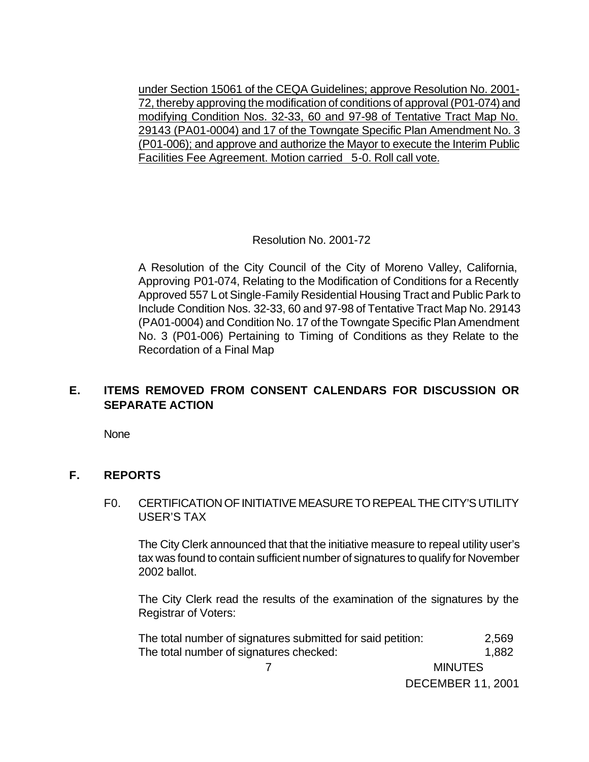under Section 15061 of the CEQA Guidelines; approve Resolution No. 2001- 72, thereby approving the modification of conditions of approval (P01-074) and modifying Condition Nos. 32-33, 60 and 97-98 of Tentative Tract Map No. 29143 (PA01-0004) and 17 of the Towngate Specific Plan Amendment No. 3 (P01-006); and approve and authorize the Mayor to execute the Interim Public Facilities Fee Agreement. Motion carried 5-0. Roll call vote.

#### Resolution No. 2001-72

A Resolution of the City Council of the City of Moreno Valley, California, Approving P01-074, Relating to the Modification of Conditions for a Recently Approved 557 Lot Single-Family Residential Housing Tract and Public Park to Include Condition Nos. 32-33, 60 and 97-98 of Tentative Tract Map No. 29143 (PA01-0004) and Condition No. 17 of the Towngate Specific Plan Amendment No. 3 (P01-006) Pertaining to Timing of Conditions as they Relate to the Recordation of a Final Map

### **E. ITEMS REMOVED FROM CONSENT CALENDARS FOR DISCUSSION OR SEPARATE ACTION**

None

#### **F. REPORTS**

#### F0. CERTIFICATION OF INITIATIVE MEASURE TO REPEAL THE CITY'S UTILITY USER'S TAX

The City Clerk announced that that the initiative measure to repeal utility user's tax was found to contain sufficient number of signatures to qualify for November 2002 ballot.

The City Clerk read the results of the examination of the signatures by the Registrar of Voters:

| The total number of signatures submitted for said petition: | 2,569                    |
|-------------------------------------------------------------|--------------------------|
| The total number of signatures checked:                     | 1,882                    |
|                                                             | <b>MINUTES</b>           |
|                                                             | <b>DECEMBER 11, 2001</b> |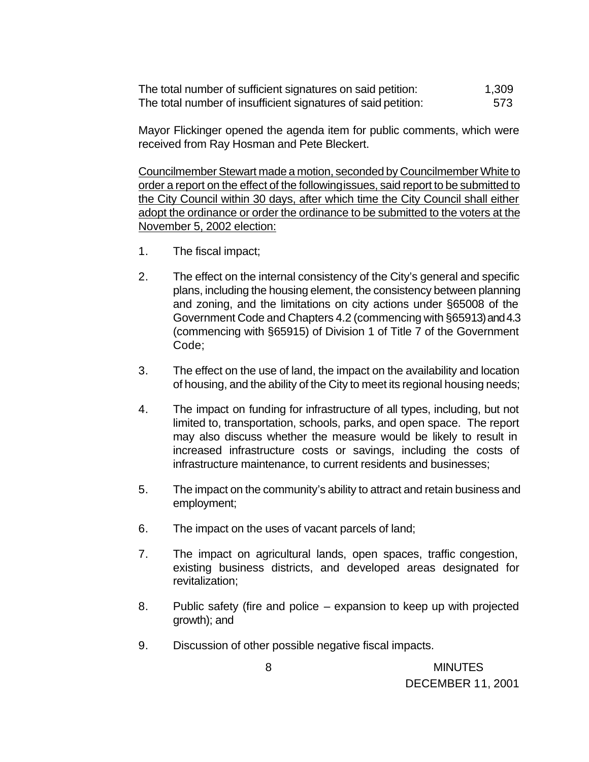The total number of sufficient signatures on said petition: 1,309 The total number of insufficient signatures of said petition: 573

Mayor Flickinger opened the agenda item for public comments, which were received from Ray Hosman and Pete Bleckert.

Councilmember Stewart made a motion, seconded by Councilmember White to order a report on the effect of the following issues, said report to be submitted to the City Council within 30 days, after which time the City Council shall either adopt the ordinance or order the ordinance to be submitted to the voters at the November 5, 2002 election:

- 1. The fiscal impact;
- 2. The effect on the internal consistency of the City's general and specific plans, including the housing element, the consistency between planning and zoning, and the limitations on city actions under §65008 of the Government Code and Chapters 4.2 (commencing with §65913) and 4.3 (commencing with §65915) of Division 1 of Title 7 of the Government Code;
- 3. The effect on the use of land, the impact on the availability and location of housing, and the ability of the City to meet its regional housing needs;
- 4. The impact on funding for infrastructure of all types, including, but not limited to, transportation, schools, parks, and open space. The report may also discuss whether the measure would be likely to result in increased infrastructure costs or savings, including the costs of infrastructure maintenance, to current residents and businesses;
- 5. The impact on the community's ability to attract and retain business and employment;
- 6. The impact on the uses of vacant parcels of land;
- 7. The impact on agricultural lands, open spaces, traffic congestion, existing business districts, and developed areas designated for revitalization;
- 8. Public safety (fire and police expansion to keep up with projected growth); and
- 9. Discussion of other possible negative fiscal impacts.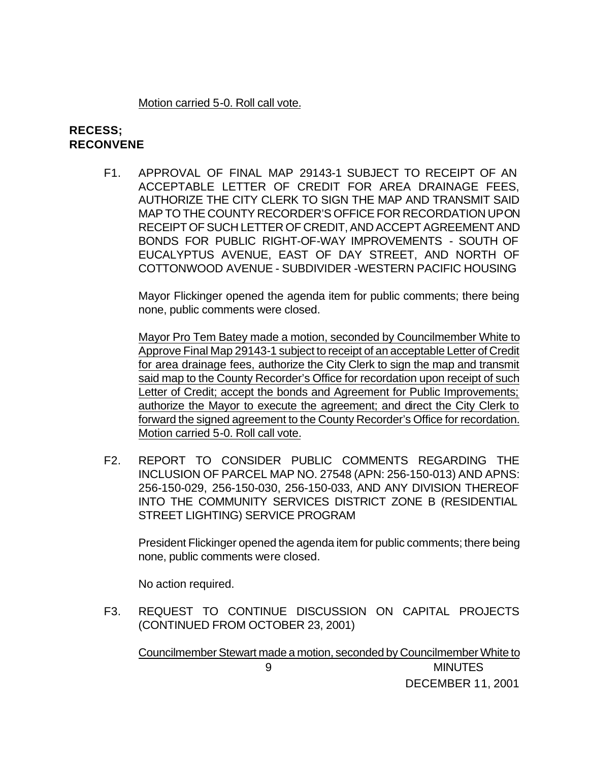#### Motion carried 5-0. Roll call vote.

#### **RECESS; RECONVENE**

F1. APPROVAL OF FINAL MAP 29143-1 SUBJECT TO RECEIPT OF AN ACCEPTABLE LETTER OF CREDIT FOR AREA DRAINAGE FEES, AUTHORIZE THE CITY CLERK TO SIGN THE MAP AND TRANSMIT SAID MAP TO THE COUNTY RECORDER'S OFFICE FOR RECORDATION UPON RECEIPT OF SUCH LETTER OF CREDIT, AND ACCEPT AGREEMENT AND BONDS FOR PUBLIC RIGHT-OF-WAY IMPROVEMENTS - SOUTH OF EUCALYPTUS AVENUE, EAST OF DAY STREET, AND NORTH OF COTTONWOOD AVENUE - SUBDIVIDER -WESTERN PACIFIC HOUSING

Mayor Flickinger opened the agenda item for public comments; there being none, public comments were closed.

Mayor Pro Tem Batey made a motion, seconded by Councilmember White to Approve Final Map 29143-1 subject to receipt of an acceptable Letter of Credit for area drainage fees, authorize the City Clerk to sign the map and transmit said map to the County Recorder's Office for recordation upon receipt of such Letter of Credit; accept the bonds and Agreement for Public Improvements; authorize the Mayor to execute the agreement; and direct the City Clerk to forward the signed agreement to the County Recorder's Office for recordation. Motion carried 5-0. Roll call vote.

F2. REPORT TO CONSIDER PUBLIC COMMENTS REGARDING THE INCLUSION OF PARCEL MAP NO. 27548 (APN: 256-150-013) AND APNS: 256-150-029, 256-150-030, 256-150-033, AND ANY DIVISION THEREOF INTO THE COMMUNITY SERVICES DISTRICT ZONE B (RESIDENTIAL STREET LIGHTING) SERVICE PROGRAM

President Flickinger opened the agenda item for public comments; there being none, public comments were closed.

No action required.

F3. REQUEST TO CONTINUE DISCUSSION ON CAPITAL PROJECTS (CONTINUED FROM OCTOBER 23, 2001)

 9 MINUTES DECEMBER 11, 2001 Councilmember Stewart made a motion, seconded by Councilmember White to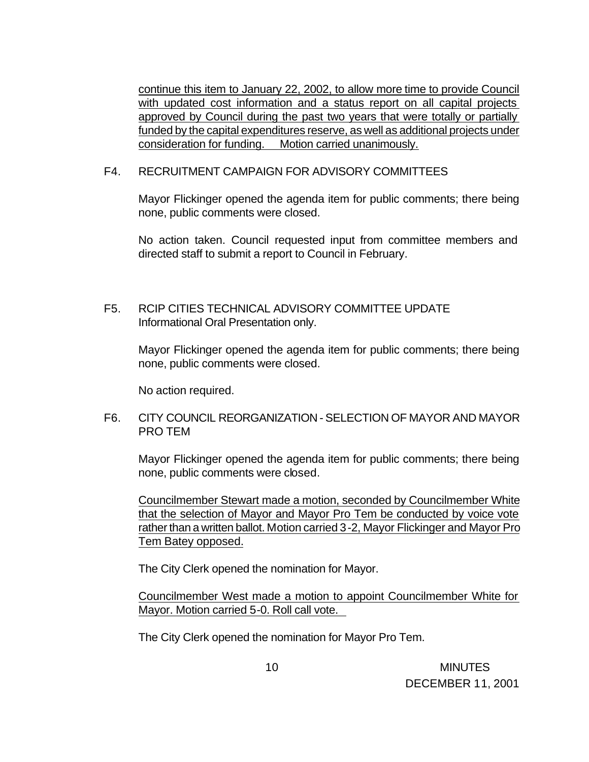continue this item to January 22, 2002, to allow more time to provide Council with updated cost information and a status report on all capital projects approved by Council during the past two years that were totally or partially funded by the capital expenditures reserve, as well as additional projects under consideration for funding. Motion carried unanimously.

#### F4. RECRUITMENT CAMPAIGN FOR ADVISORY COMMITTEES

Mayor Flickinger opened the agenda item for public comments; there being none, public comments were closed.

No action taken. Council requested input from committee members and directed staff to submit a report to Council in February.

F5. RCIP CITIES TECHNICAL ADVISORY COMMITTEE UPDATE Informational Oral Presentation only.

Mayor Flickinger opened the agenda item for public comments; there being none, public comments were closed.

No action required.

#### F6. CITY COUNCIL REORGANIZATION - SELECTION OF MAYOR AND MAYOR PRO TEM

Mayor Flickinger opened the agenda item for public comments; there being none, public comments were closed.

Councilmember Stewart made a motion, seconded by Councilmember White that the selection of Mayor and Mayor Pro Tem be conducted by voice vote rather than a written ballot. Motion carried 3-2, Mayor Flickinger and Mayor Pro Tem Batey opposed.

The City Clerk opened the nomination for Mayor.

Councilmember West made a motion to appoint Councilmember White for Mayor. Motion carried 5-0. Roll call vote.

The City Clerk opened the nomination for Mayor Pro Tem.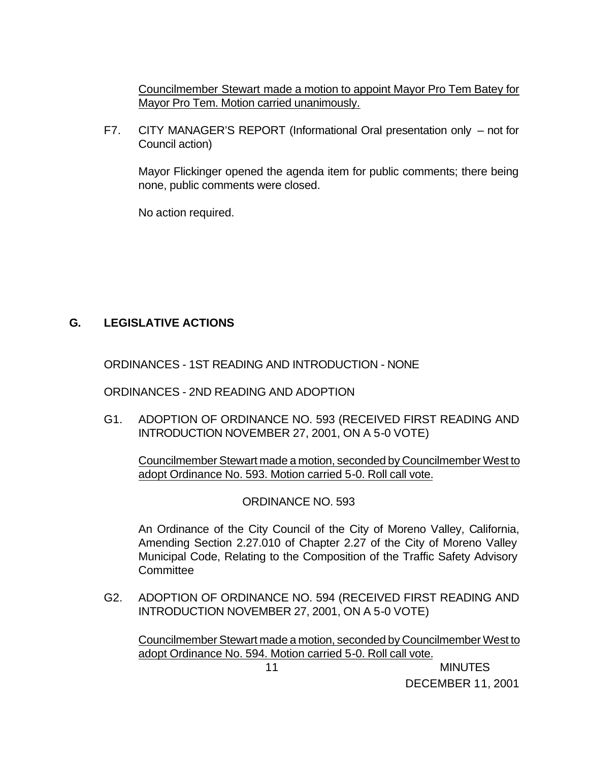Councilmember Stewart made a motion to appoint Mayor Pro Tem Batey for Mayor Pro Tem. Motion carried unanimously.

F7. CITY MANAGER'S REPORT (Informational Oral presentation only – not for Council action)

Mayor Flickinger opened the agenda item for public comments; there being none, public comments were closed.

No action required.

# **G. LEGISLATIVE ACTIONS**

ORDINANCES - 1ST READING AND INTRODUCTION - NONE

ORDINANCES - 2ND READING AND ADOPTION

G1. ADOPTION OF ORDINANCE NO. 593 (RECEIVED FIRST READING AND INTRODUCTION NOVEMBER 27, 2001, ON A 5-0 VOTE)

Councilmember Stewart made a motion, seconded by Councilmember West to adopt Ordinance No. 593. Motion carried 5-0. Roll call vote.

ORDINANCE NO. 593

An Ordinance of the City Council of the City of Moreno Valley, California, Amending Section 2.27.010 of Chapter 2.27 of the City of Moreno Valley Municipal Code, Relating to the Composition of the Traffic Safety Advisory **Committee** 

G2. ADOPTION OF ORDINANCE NO. 594 (RECEIVED FIRST READING AND INTRODUCTION NOVEMBER 27, 2001, ON A 5-0 VOTE)

Councilmember Stewart made a motion, seconded by Councilmember West to adopt Ordinance No. 594. Motion carried 5-0. Roll call vote.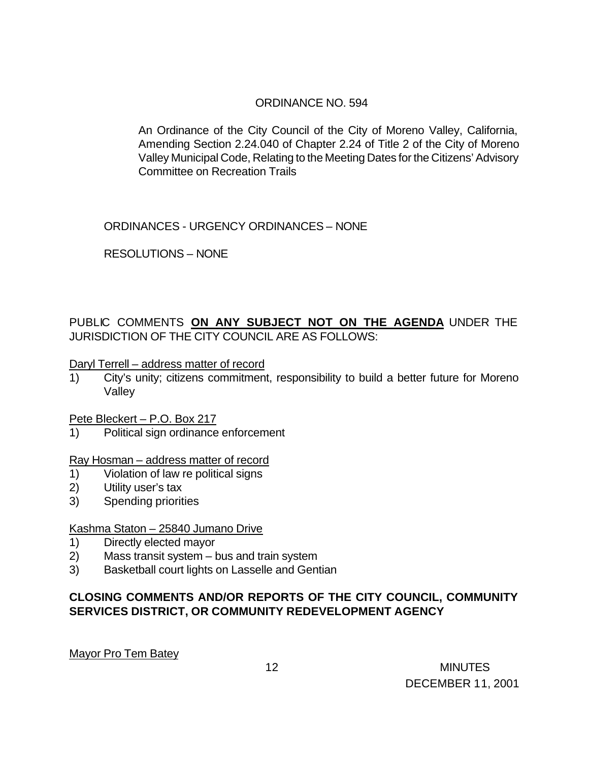### ORDINANCE NO. 594

An Ordinance of the City Council of the City of Moreno Valley, California, Amending Section 2.24.040 of Chapter 2.24 of Title 2 of the City of Moreno Valley Municipal Code, Relating to the Meeting Dates for the Citizens' Advisory Committee on Recreation Trails

ORDINANCES - URGENCY ORDINANCES – NONE

RESOLUTIONS – NONE

PUBLIC COMMENTS **ON ANY SUBJECT NOT ON THE AGENDA** UNDER THE JURISDICTION OF THE CITY COUNCIL ARE AS FOLLOWS:

Daryl Terrell – address matter of record

1) City's unity; citizens commitment, responsibility to build a better future for Moreno Valley

Pete Bleckert – P.O. Box 217

1) Political sign ordinance enforcement

Ray Hosman – address matter of record

- 1) Violation of law re political signs
- 2) Utility user's tax
- 3) Spending priorities

#### Kashma Staton – 25840 Jumano Drive

- 1) Directly elected mayor
- 2) Mass transit system bus and train system
- 3) Basketball court lights on Lasselle and Gentian

### **CLOSING COMMENTS AND/OR REPORTS OF THE CITY COUNCIL, COMMUNITY SERVICES DISTRICT, OR COMMUNITY REDEVELOPMENT AGENCY**

Mayor Pro Tem Batey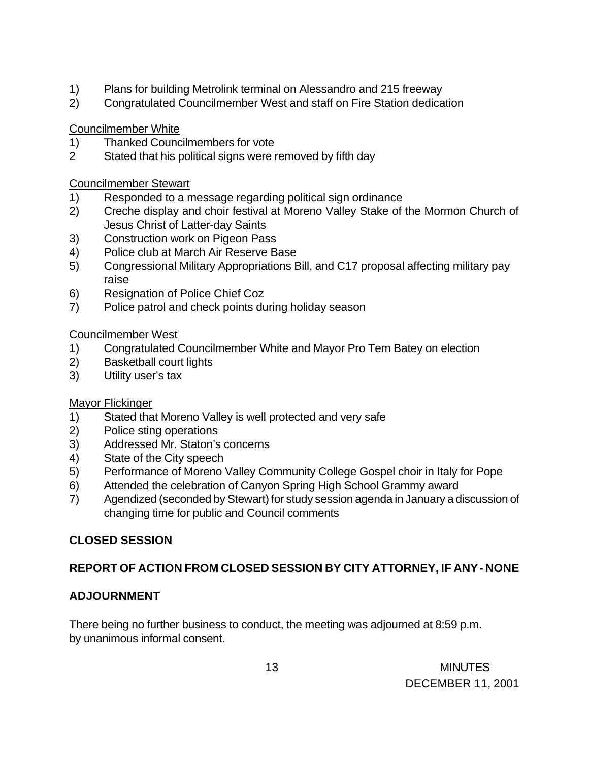- 1) Plans for building Metrolink terminal on Alessandro and 215 freeway
- 2) Congratulated Councilmember West and staff on Fire Station dedication

Councilmember White

- 1) Thanked Councilmembers for vote
- 2 Stated that his political signs were removed by fifth day

### Councilmember Stewart

- 1) Responded to a message regarding political sign ordinance
- 2) Creche display and choir festival at Moreno Valley Stake of the Mormon Church of Jesus Christ of Latter-day Saints
- 3) Construction work on Pigeon Pass
- 4) Police club at March Air Reserve Base
- 5) Congressional Military Appropriations Bill, and C17 proposal affecting military pay raise
- 6) Resignation of Police Chief Coz
- 7) Police patrol and check points during holiday season

### Councilmember West

- 1) Congratulated Councilmember White and Mayor Pro Tem Batey on election
- 2) Basketball court lights
- 3) Utility user's tax

### Mayor Flickinger

- 1) Stated that Moreno Valley is well protected and very safe
- 2) Police sting operations
- 3) Addressed Mr. Staton's concerns
- 4) State of the City speech
- 5) Performance of Moreno Valley Community College Gospel choir in Italy for Pope
- 6) Attended the celebration of Canyon Spring High School Grammy award
- 7) Agendized (seconded by Stewart) for study session agenda in January a discussion of changing time for public and Council comments

# **CLOSED SESSION**

# **REPORT OF ACTION FROM CLOSED SESSION BY CITY ATTORNEY, IF ANY - NONE**

# **ADJOURNMENT**

There being no further business to conduct, the meeting was adjourned at 8:59 p.m. by unanimous informal consent.